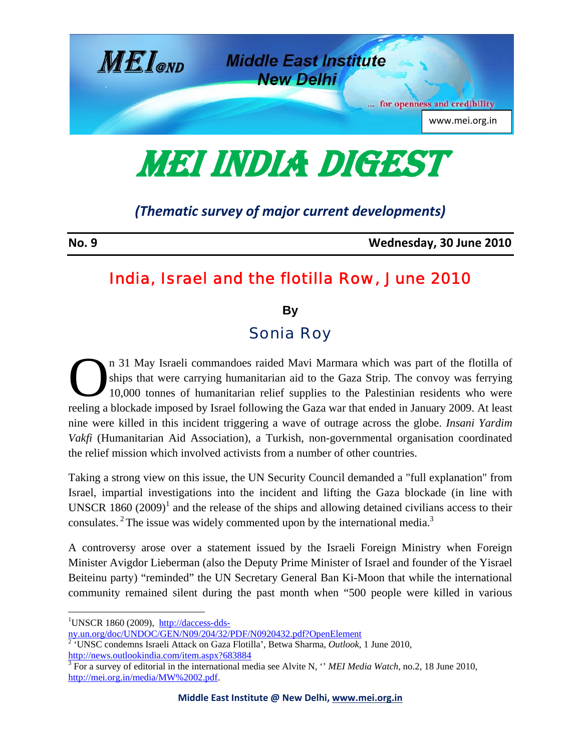

MEI INDIA DIGEST

## *(Thematic survey of major current developments)*

**No. 9 Wednesday, 30 June 2010**

## India, Israel and the flotilla Row, June 2010

**By** 

## Sonia Roy

n 31 May Israeli commandoes raided Mavi Marmara which was part of the flotilla of ships that were carrying humanitarian aid to the Gaza Strip. The convoy was ferrying 10,000 tonnes of humanitarian relief supplies to the Palestinian residents who were reeling a blockade imposed by Israel following the Gaza war that ended in January 2009. At least nine were killed in this incident triggering a wave of outrage across the globe. *Insani Yardim Vakfi* (Humanitarian Aid Association), a Turkish, non-governmental organisation coordinated the relief mission which involved activists from a number of other countries.  $\sum_{10,}^{n-3}$ 

Taking a strong view on this issue, the UN Security Council demanded a "full explanation" from Israel, impartial investigations into the incident and lifting the Gaza blockade (in line with UNSCR 1860  $(2009)^1$  and the release of the ships and allowing detained civilians access to their consulates.<sup>2</sup> The issue was widely commented upon by the international media.<sup>3</sup>

A controversy arose over a statement issued by the Israeli Foreign Ministry when Foreign Minister Avigdor Lieberman (also the Deputy Prime Minister of Israel and founder of the Yisrael Beiteinu party) "reminded" the UN Secretary General Ban Ki-Moon that while the international community remained silent during the past month when "500 people were killed in various

<sup>&</sup>lt;sup>1</sup>UNSCR 1860 (2009),  $\frac{http://daccess-dds-1}{http://daccess-dds-1}$ 

ny.un.org/doc/UNDOC/GEN/N09/204/32/PDF/N0920432.pdf?OpenElement 2 'UNSC condemns Israeli Attack on Gaza Flotilla', Betwa Sharma, *Outlook*, 1 June 2010, http://news.outlookindia.com/item.aspx?683884

<sup>&</sup>lt;sup>3</sup> For a survey of editorial in the international media see Alvite N, "*MEI Media Watch*, no.2, 18 June 2010, http://mei.org.in/media/MW%2002.pdf.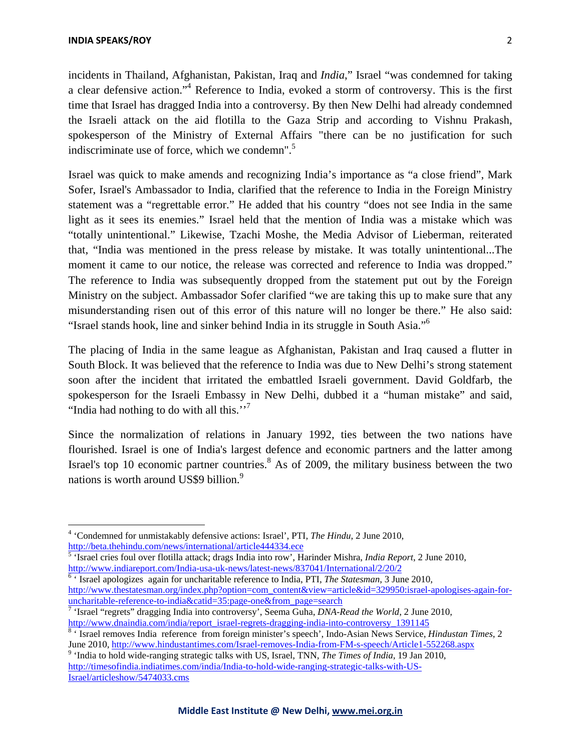incidents in Thailand, Afghanistan, Pakistan, Iraq and *India*," Israel "was condemned for taking a clear defensive action."<sup>4</sup> Reference to India, evoked a storm of controversy. This is the first time that Israel has dragged India into a controversy. By then New Delhi had already condemned the Israeli attack on the aid flotilla to the Gaza Strip and according to Vishnu Prakash, spokesperson of the Ministry of External Affairs "there can be no justification for such indiscriminate use of force, which we condemn".<sup>5</sup>

Israel was quick to make amends and recognizing India's importance as "a close friend", Mark Sofer, Israel's Ambassador to India, clarified that the reference to India in the Foreign Ministry statement was a "regrettable error." He added that his country "does not see India in the same light as it sees its enemies." Israel held that the mention of India was a mistake which was "totally unintentional." Likewise, Tzachi Moshe, the Media Advisor of Lieberman, reiterated that, "India was mentioned in the press release by mistake. It was totally unintentional...The moment it came to our notice, the release was corrected and reference to India was dropped." The reference to India was subsequently dropped from the statement put out by the Foreign Ministry on the subject. Ambassador Sofer clarified "we are taking this up to make sure that any misunderstanding risen out of this error of this nature will no longer be there." He also said: "Israel stands hook, line and sinker behind India in its struggle in South Asia."6

The placing of India in the same league as Afghanistan, Pakistan and Iraq caused a flutter in South Block. It was believed that the reference to India was due to New Delhi's strong statement soon after the incident that irritated the embattled Israeli government. David Goldfarb, the spokesperson for the Israeli Embassy in New Delhi, dubbed it a "human mistake" and said, "India had nothing to do with all this."<sup>7</sup>

Since the normalization of relations in January 1992, ties between the two nations have flourished. Israel is one of India's largest defence and economic partners and the latter among Israel's top 10 economic partner countries.<sup>8</sup> As of 2009, the military business between the two nations is worth around US\$9 billion.<sup>9</sup>

<sup>6</sup> ' Israel apologizes again for uncharitable reference to India, PTI, *The Statesman*, 3 June 2010, http://www.thestatesman.org/index.php?option=com\_content&view=article&id=329950:israel-apologises-again-for-

<sup>4</sup> 'Condemned for unmistakably defensive actions: Israel', PTI, *The Hindu*, 2 June 2010,

http://beta.thehindu.com/news/international/article444334.ece 5 'Israel cries foul over flotilla attack; drags India into row', Harinder Mishra, *India Report*, 2 June 2010, http://www.indiareport.com/India-usa-uk-news/latest-news/837041/International/2/20/2 <sup>6</sup>

uncharitable-reference-to-india&catid=35:page-one&from\_page=search 7 'Israel "regrets" dragging India into controversy', Seema Guha, *DNA-Read the World*, 2 June 2010, http://www.dnaindia.com/india/report\_israel-regrets-dragging-india-into-controversy\_1391145

 <sup>&#</sup>x27; Israel removes India reference from foreign minister's speech', Indo-Asian News Service, *Hindustan Times*, 2 June 2010, http://www.hindustantimes.com/Israel-removes-India-from-FM-s-speech/Article1-552268.aspx 9

<sup>&</sup>lt;sup>9</sup> 'India to hold wide-ranging strategic talks with US, Israel, TNN, *The Times of India*, 19 Jan 2010, http://timesofindia.indiatimes.com/india/India-to-hold-wide-ranging-strategic-talks-with-US-Israel/articleshow/5474033.cms